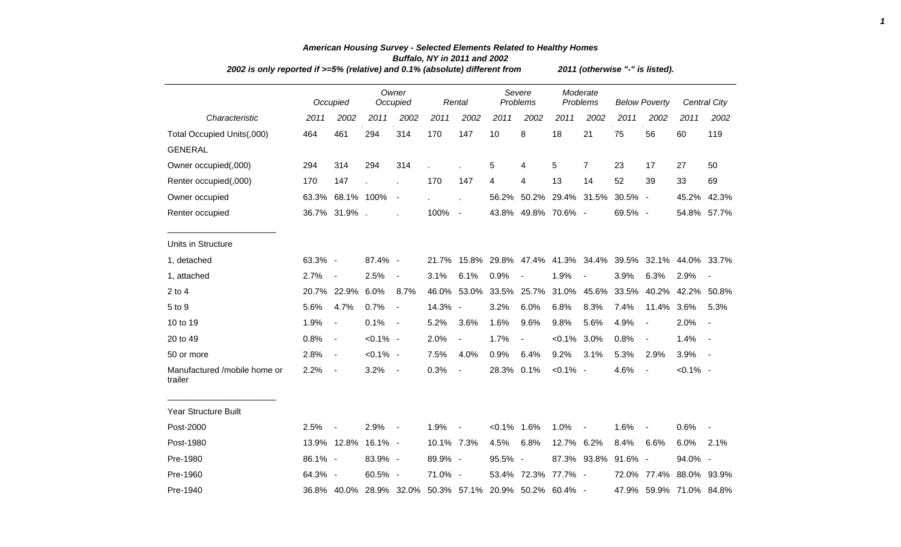| 2002 is only reported if >=5% (relative) and 0.1% (absolute) different from |         | 2011 (otherwise "-" is listed). |             |                          |            |                          |                    |                                                         |                      |                          |                      |                          |                   |                          |
|-----------------------------------------------------------------------------|---------|---------------------------------|-------------|--------------------------|------------|--------------------------|--------------------|---------------------------------------------------------|----------------------|--------------------------|----------------------|--------------------------|-------------------|--------------------------|
|                                                                             |         | Occupied                        |             | Owner<br>Occupied        |            | Rental                   | Severe<br>Problems |                                                         | Moderate<br>Problems |                          | <b>Below Poverty</b> |                          |                   | <b>Central City</b>      |
| Characteristic                                                              | 2011    | 2002                            | 2011        | 2002                     | 2011       | 2002                     | 2011               | 2002                                                    | 2011                 | 2002                     | 2011                 | 2002                     | 2011              | 2002                     |
| Total Occupied Units(,000)                                                  | 464     | 461                             | 294         | 314                      | 170        | 147                      | 10                 | 8                                                       | 18                   | 21                       | 75                   | 56                       | 60                | 119                      |
| <b>GENERAL</b>                                                              |         |                                 |             |                          |            |                          |                    |                                                         |                      |                          |                      |                          |                   |                          |
| Owner occupied(,000)                                                        | 294     | 314                             | 294         | 314                      |            |                          | 5                  | 4                                                       | 5                    | $\overline{7}$           | 23                   | 17                       | 27                | 50                       |
| Renter occupied(,000)                                                       | 170     | 147                             |             |                          | 170        | 147                      | 4                  | 4                                                       | 13                   | 14                       | 52                   | 39                       | 33                | 69                       |
| Owner occupied                                                              |         | 63.3% 68.1% 100%                |             | $\overline{\phantom{a}}$ |            |                          | 56.2%              | 50.2%                                                   | 29.4%                | 31.5%                    | $30.5\%$ -           |                          | 45.2%             | 42.3%                    |
| Renter occupied                                                             |         | 36.7% 31.9%.                    |             |                          | 100%       | $\sim$                   |                    | 43.8% 49.8% 70.6% -                                     |                      |                          | 69.5% -              |                          |                   | 54.8% 57.7%              |
| Units in Structure                                                          |         |                                 |             |                          |            |                          |                    |                                                         |                      |                          |                      |                          |                   |                          |
| 1, detached                                                                 | 63.3% - |                                 | 87.4% -     |                          | 21.7%      |                          |                    | 15.8% 29.8% 47.4% 41.3% 34.4% 39.5%                     |                      |                          |                      |                          | 32.1% 44.0% 33.7% |                          |
| 1, attached                                                                 | 2.7%    | $\blacksquare$                  | 2.5%        | $\overline{\phantom{a}}$ | 3.1%       | 6.1%                     | 0.9%               |                                                         | 1.9%                 |                          | 3.9%                 | 6.3%                     | 2.9%              | $\overline{\phantom{a}}$ |
| $2$ to 4                                                                    | 20.7%   | 22.9%                           | 6.0%        | 8.7%                     | 46.0%      | 53.0%                    | 33.5%              | 25.7%                                                   | 31.0%                | 45.6%                    | 33.5%                | 40.2%                    | 42.2%             | 50.8%                    |
| 5 to 9                                                                      | 5.6%    | 4.7%                            | 0.7%        | $\overline{\phantom{a}}$ | 14.3% -    |                          | 3.2%               | 6.0%                                                    | 6.8%                 | 8.3%                     | 7.4%                 | 11.4%                    | 3.6%              | 5.3%                     |
| 10 to 19                                                                    | 1.9%    | $\overline{\phantom{a}}$        | 0.1%        | $\sim$                   | 5.2%       | 3.6%                     | 1.6%               | 9.6%                                                    | 9.8%                 | 5.6%                     | 4.9%                 | $\blacksquare$           | 2.0%              | $\overline{\phantom{a}}$ |
| 20 to 49                                                                    | 0.8%    | $\overline{\phantom{a}}$        | $< 0.1\%$ - |                          | 2.0%       | $\blacksquare$           | 1.7%               | $\blacksquare$                                          | $< 0.1\%$            | 3.0%                     | 0.8%                 | $\overline{a}$           | 1.4%              | $\blacksquare$           |
| 50 or more                                                                  | 2.8%    | $\blacksquare$                  | $< 0.1\%$ - |                          | 7.5%       | 4.0%                     | 0.9%               | 6.4%                                                    | 9.2%                 | 3.1%                     | 5.3%                 | 2.9%                     | 3.9%              | $\overline{\phantom{a}}$ |
| Manufactured /mobile home or<br>trailer                                     | 2.2%    | $\sim$                          | 3.2%        | $\sim$                   | 0.3%       | $\overline{\phantom{a}}$ | 28.3% 0.1%         |                                                         | $< 0.1\%$ -          |                          | 4.6%                 | $\overline{\phantom{a}}$ | $< 0.1\%$ -       |                          |
| Year Structure Built                                                        |         |                                 |             |                          |            |                          |                    |                                                         |                      |                          |                      |                          |                   |                          |
| Post-2000                                                                   | 2.5%    | $\sim$                          | 2.9%        | $\sim$ $-$               | 1.9%       | $\sim$ $-$               | $< 0.1\%$ 1.6%     |                                                         | 1.0%                 | $\overline{\phantom{a}}$ | 1.6%                 | $\blacksquare$           | 0.6%              | $\overline{\phantom{a}}$ |
| Post-1980                                                                   |         | 13.9% 12.8%                     | $16.1\%$ -  |                          | 10.1% 7.3% |                          | 4.5%               | 6.8%                                                    | 12.7% 6.2%           |                          | 8.4%                 | 6.6%                     | 6.0%              | 2.1%                     |
| Pre-1980                                                                    | 86.1% - |                                 | 83.9% -     |                          | 89.9% -    |                          | 95.5% -            |                                                         |                      | 87.3% 93.8%              | 91.6%                | $\overline{\phantom{a}}$ | 94.0% -           |                          |
| Pre-1960                                                                    | 64.3% - |                                 | 60.5% -     |                          | 71.0% -    |                          |                    | 53.4% 72.3%                                             | 77.7% -              |                          | 72.0%                | 77.4%                    | 88.0% 93.9%       |                          |
| Pre-1940                                                                    |         |                                 |             |                          |            |                          |                    | 36.8% 40.0% 28.9% 32.0% 50.3% 57.1% 20.9% 50.2% 60.4% - |                      |                          |                      | 47.9% 59.9% 71.0% 84.8%  |                   |                          |

## *American Housing Survey - Selected Elements Related to Healthy Homes Buffalo, NY in 2011 and 2002 2002 is only reported if >=5% (relative) and 0.1% (absolute) different from 2011 (otherwise "-" is listed).*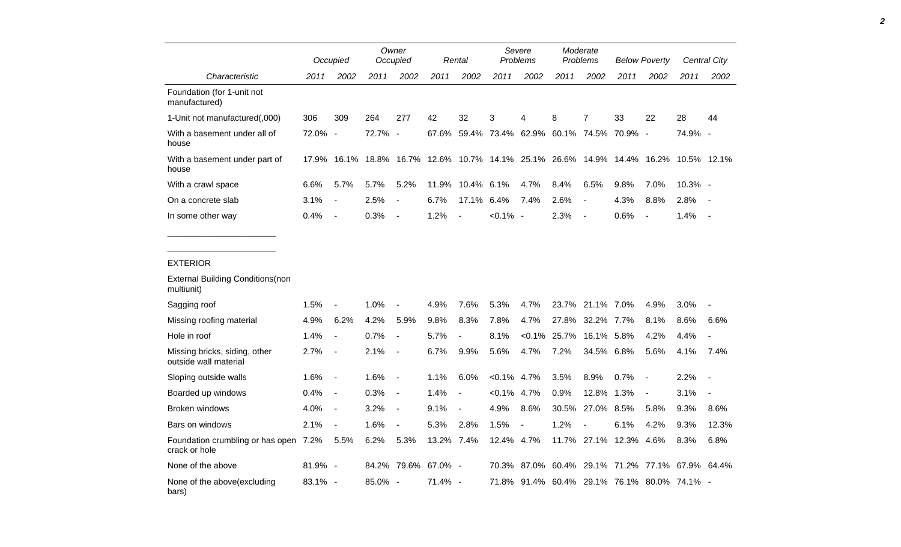|                                                        |         | Occupied                     | Owner<br>Occupied |                          | Rental     |                          | Severe<br>Problems      |                | Moderate<br>Problems |                          | <b>Below Poverty</b>                  |                          | Central City |                          |
|--------------------------------------------------------|---------|------------------------------|-------------------|--------------------------|------------|--------------------------|-------------------------|----------------|----------------------|--------------------------|---------------------------------------|--------------------------|--------------|--------------------------|
| Characteristic                                         | 2011    | 2002                         | 2011              | 2002                     | 2011       | 2002                     | 2011                    | 2002           | 2011                 | 2002                     | 2011                                  | 2002                     | 2011         | 2002                     |
| Foundation (for 1-unit not<br>manufactured)            |         |                              |                   |                          |            |                          |                         |                |                      |                          |                                       |                          |              |                          |
| 1-Unit not manufactured(,000)                          | 306     | 309                          | 264               | 277                      | 42         | 32                       | 3                       | 4              | 8                    | $\overline{7}$           | 33                                    | 22                       | 28           | 44                       |
| With a basement under all of<br>house                  | 72.0%   | $\overline{\phantom{a}}$     | 72.7%             | $\blacksquare$           | 67.6%      |                          | 59.4% 73.4%             | 62.9%          |                      |                          | 60.1% 74.5% 70.9% -                   |                          | 74.9% -      |                          |
| With a basement under part of<br>house                 | 17.9%   | 16.1%                        | 18.8%             | 16.7%                    |            |                          | 12.6% 10.7% 14.1% 25.1% |                |                      |                          | 26.6% 14.9% 14.4% 16.2%               |                          | 10.5% 12.1%  |                          |
| With a crawl space                                     | 6.6%    | 5.7%                         | 5.7%              | 5.2%                     | 11.9%      | 10.4% 6.1%               |                         | 4.7%           | 8.4%                 | 6.5%                     | 9.8%                                  | 7.0%                     | $10.3\%$ -   |                          |
| On a concrete slab                                     | 3.1%    | $\overline{a}$               | 2.5%              | $\overline{a}$           | 6.7%       | 17.1%                    | 6.4%                    | 7.4%           | 2.6%                 | $\overline{a}$           | 4.3%                                  | 8.8%                     | 2.8%         |                          |
| In some other way                                      | 0.4%    | $\overline{\phantom{0}}$     | 0.3%              | $\overline{\phantom{a}}$ | 1.2%       | $\overline{\phantom{a}}$ | $< 0.1\%$ -             |                | 2.3%                 | $\overline{\phantom{a}}$ | 0.6%                                  | $\overline{\phantom{a}}$ | 1.4%         | $\overline{\phantom{a}}$ |
| <b>EXTERIOR</b>                                        |         |                              |                   |                          |            |                          |                         |                |                      |                          |                                       |                          |              |                          |
| <b>External Building Conditions(non</b><br>multiunit)  |         |                              |                   |                          |            |                          |                         |                |                      |                          |                                       |                          |              |                          |
| Sagging roof                                           | 1.5%    | $\overline{a}$               | 1.0%              | $\overline{a}$           | 4.9%       | 7.6%                     | 5.3%                    | 4.7%           | 23.7%                | 21.1% 7.0%               |                                       | 4.9%                     | 3.0%         | $\overline{\phantom{a}}$ |
| Missing roofing material                               | 4.9%    | 6.2%                         | 4.2%              | 5.9%                     | 9.8%       | 8.3%                     | 7.8%                    | 4.7%           | 27.8%                | 32.2% 7.7%               |                                       | 8.1%                     | 8.6%         | 6.6%                     |
| Hole in roof                                           | 1.4%    | $\overline{\phantom{a}}$     | 0.7%              | $\frac{1}{2}$            | 5.7%       | $\overline{a}$           | 8.1%                    | $< 0.1\%$      | 25.7%                | 16.1% 5.8%               |                                       | 4.2%                     | 4.4%         | $\overline{a}$           |
| Missing bricks, siding, other<br>outside wall material | 2.7%    | $\overline{\phantom{a}}$     | 2.1%              | $\overline{a}$           | 6.7%       | 9.9%                     | 5.6%                    | 4.7%           | 7.2%                 | 34.5%                    | 6.8%                                  | 5.6%                     | 4.1%         | 7.4%                     |
| Sloping outside walls                                  | 1.6%    | $\blacksquare$               | 1.6%              | $\overline{\phantom{a}}$ | 1.1%       | 6.0%                     | $< 0.1\%$               | 4.7%           | 3.5%                 | 8.9%                     | 0.7%                                  | $\blacksquare$           | 2.2%         | $\overline{a}$           |
| Boarded up windows                                     | 0.4%    | $\qquad \qquad \blacksquare$ | 0.3%              | $\blacksquare$           | 1.4%       | $\blacksquare$           | $< 0.1\%$               | 4.7%           | 0.9%                 | 12.8%                    | 1.3%                                  | $\blacksquare$           | 3.1%         | $\overline{a}$           |
| Broken windows                                         | 4.0%    | $\overline{\phantom{a}}$     | 3.2%              | $\overline{\phantom{a}}$ | 9.1%       | $\overline{\phantom{a}}$ | 4.9%                    | 8.6%           | 30.5%                | 27.0% 8.5%               |                                       | 5.8%                     | 9.3%         | 8.6%                     |
| Bars on windows                                        | 2.1%    | $\overline{\phantom{a}}$     | 1.6%              | $\frac{1}{2}$            | 5.3%       | 2.8%                     | 1.5%                    | $\blacksquare$ | 1.2%                 | $\overline{a}$           | 6.1%                                  | 4.2%                     | 9.3%         | 12.3%                    |
| Foundation crumbling or has open 7.2%<br>crack or hole |         | 5.5%                         | 6.2%              | 5.3%                     | 13.2% 7.4% |                          | 12.4% 4.7%              |                |                      |                          | 11.7% 27.1% 12.3%                     | 4.6%                     | 8.3%         | 6.8%                     |
| None of the above                                      | 81.9% - |                              | 84.2%             | 79.6%                    | 67.0%      | $\sim$                   | 70.3%                   | 87.0%          |                      |                          | 60.4% 29.1% 71.2% 77.1% 67.9% 64.4%   |                          |              |                          |
| None of the above(excluding<br>bars)                   | 83.1% - |                              | 85.0% -           |                          | $71.4\%$ - |                          | 71.8%                   |                |                      |                          | 91.4% 60.4% 29.1% 76.1% 80.0% 74.1% - |                          |              |                          |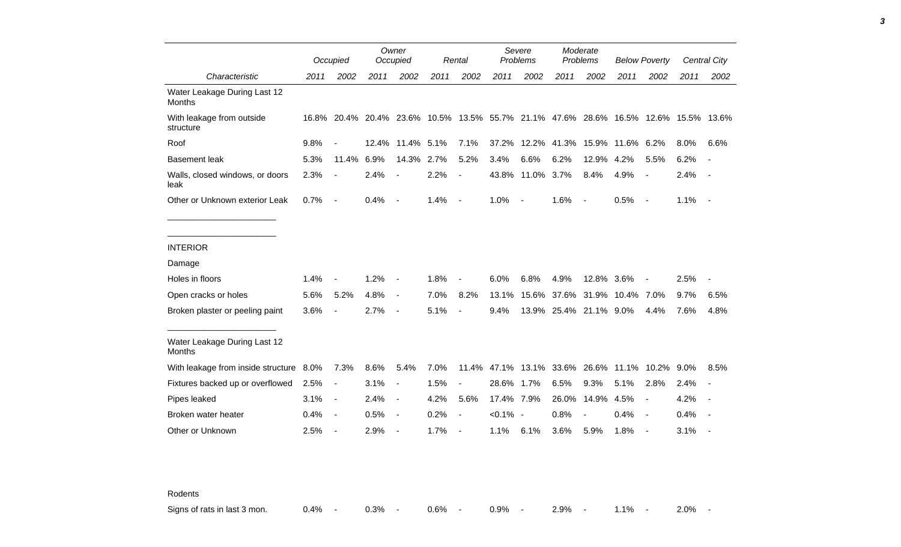|                                               |      | Occupied                 |       | Owner<br>Occupied            |      | Rental                       |           | Severe<br>Problems                                                                  |                        | Moderate<br>Problems     |                              | <b>Below Poverty</b>     |      | <b>Central City</b>      |
|-----------------------------------------------|------|--------------------------|-------|------------------------------|------|------------------------------|-----------|-------------------------------------------------------------------------------------|------------------------|--------------------------|------------------------------|--------------------------|------|--------------------------|
| Characteristic                                | 2011 | 2002                     | 2011  | 2002                         | 2011 | 2002                         | 2011      | 2002                                                                                | 2011                   | 2002                     | 2011                         | 2002                     | 2011 | 2002                     |
| Water Leakage During Last 12<br>Months        |      |                          |       |                              |      |                              |           |                                                                                     |                        |                          |                              |                          |      |                          |
| With leakage from outside<br>structure        |      |                          |       |                              |      |                              |           | 16.8% 20.4% 20.4% 23.6% 10.5% 13.5% 55.7% 21.1% 47.6% 28.6% 16.5% 12.6% 15.5% 13.6% |                        |                          |                              |                          |      |                          |
| Roof                                          | 9.8% | $\overline{\phantom{a}}$ | 12.4% | 11.4%                        | 5.1% | 7.1%                         | 37.2%     |                                                                                     |                        |                          | 12.2% 41.3% 15.9% 11.6% 6.2% |                          | 8.0% | 6.6%                     |
| <b>Basement leak</b>                          | 5.3% | 11.4%                    | 6.9%  | 14.3%                        | 2.7% | 5.2%                         | 3.4%      | 6.6%                                                                                | 6.2%                   | 12.9%                    | 4.2%                         | 5.5%                     | 6.2% |                          |
| Walls, closed windows, or doors<br>leak       | 2.3% | $\blacksquare$           | 2.4%  |                              | 2.2% | $\overline{\phantom{a}}$     |           | 43.8% 11.0% 3.7%                                                                    |                        | 8.4%                     | 4.9%                         | $\blacksquare$           | 2.4% |                          |
| Other or Unknown exterior Leak                | 0.7% | $\overline{\phantom{a}}$ | 0.4%  | $\qquad \qquad \blacksquare$ | 1.4% | $\blacksquare$               | 1.0%      | $\overline{a}$                                                                      | 1.6%                   | $\overline{\phantom{a}}$ | 0.5%                         | $\blacksquare$           | 1.1% | $\sim$                   |
|                                               |      |                          |       |                              |      |                              |           |                                                                                     |                        |                          |                              |                          |      |                          |
| <b>INTERIOR</b>                               |      |                          |       |                              |      |                              |           |                                                                                     |                        |                          |                              |                          |      |                          |
| Damage                                        |      |                          |       |                              |      |                              |           |                                                                                     |                        |                          |                              |                          |      |                          |
| Holes in floors                               | 1.4% |                          | 1.2%  | $\overline{a}$               | 1.8% |                              | 6.0%      | 6.8%                                                                                | 4.9%                   | 12.8% 3.6%               |                              |                          | 2.5% |                          |
| Open cracks or holes                          | 5.6% | 5.2%                     | 4.8%  | $\blacksquare$               | 7.0% | 8.2%                         | 13.1%     |                                                                                     |                        |                          | 15.6% 37.6% 31.9% 10.4% 7.0% |                          | 9.7% | 6.5%                     |
| Broken plaster or peeling paint               | 3.6% |                          | 2.7%  | $\blacksquare$               | 5.1% |                              | 9.4%      |                                                                                     | 13.9% 25.4% 21.1% 9.0% |                          |                              | 4.4%                     | 7.6% | 4.8%                     |
| Water Leakage During Last 12<br><b>Months</b> |      |                          |       |                              |      |                              |           |                                                                                     |                        |                          |                              |                          |      |                          |
| With leakage from inside structure 8.0%       |      | 7.3%                     | 8.6%  | 5.4%                         | 7.0% |                              |           | 11.4% 47.1% 13.1% 33.6% 26.6% 11.1% 10.2% 9.0%                                      |                        |                          |                              |                          |      | 8.5%                     |
| Fixtures backed up or overflowed              | 2.5% | $\blacksquare$           | 3.1%  | $\overline{\phantom{a}}$     | 1.5% | $\qquad \qquad \blacksquare$ | 28.6%     | 1.7%                                                                                | 6.5%                   | 9.3%                     | 5.1%                         | 2.8%                     | 2.4% |                          |
| Pipes leaked                                  | 3.1% | $\blacksquare$           | 2.4%  | $\blacksquare$               | 4.2% | 5.6%                         | 17.4%     | 7.9%                                                                                | 26.0%                  | 14.9%                    | 4.5%                         | $\overline{\phantom{a}}$ | 4.2% | $\overline{a}$           |
| Broken water heater                           | 0.4% | $\blacksquare$           | 0.5%  | $\blacksquare$               | 0.2% | $\blacksquare$               | $< 0.1\%$ | $\overline{\phantom{a}}$                                                            | 0.8%                   |                          | 0.4%                         | $\blacksquare$           | 0.4% | $\overline{\phantom{a}}$ |
| Other or Unknown                              | 2.5% | $\overline{\phantom{a}}$ | 2.9%  | $\overline{\phantom{a}}$     | 1.7% |                              | 1.1%      | 6.1%                                                                                | 3.6%                   | 5.9%                     | 1.8%                         | $\overline{\phantom{a}}$ | 3.1% |                          |

Rodents

Signs of rats in last 3 mon. 0.4% - 0.3% - 0.6% - 0.9% - 2.9% - 1.1% - 2.0% -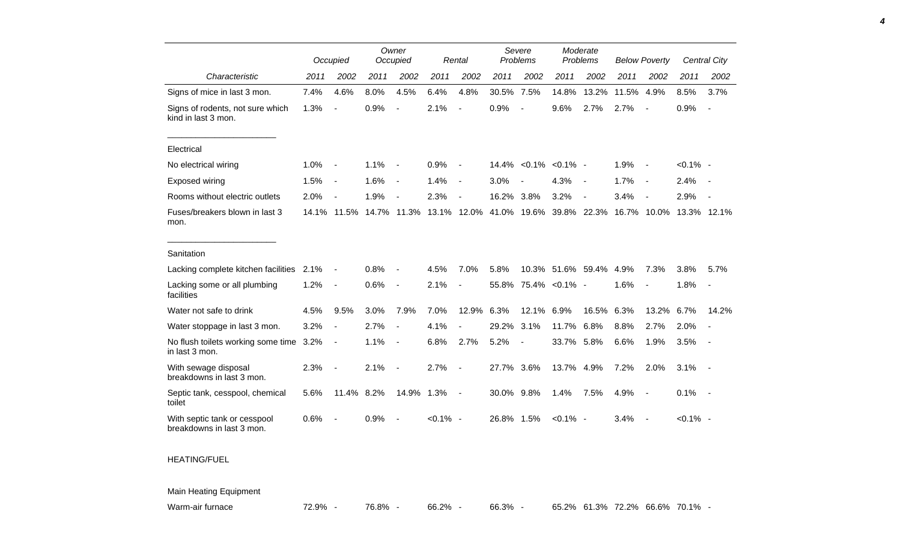|                                                           |      | Occupied                 |      | Owner<br>Occupied        |             | Rental                   |            | Severe<br>Problems       |                | Moderate<br>Problems     |       | <b>Below Poverty</b>     |             | Central City             |
|-----------------------------------------------------------|------|--------------------------|------|--------------------------|-------------|--------------------------|------------|--------------------------|----------------|--------------------------|-------|--------------------------|-------------|--------------------------|
| Characteristic                                            | 2011 | 2002                     | 2011 | 2002                     | 2011        | 2002                     | 2011       | 2002                     | 2011           | 2002                     | 2011  | 2002                     | 2011        | 2002                     |
| Signs of mice in last 3 mon.                              | 7.4% | 4.6%                     | 8.0% | 4.5%                     | 6.4%        | 4.8%                     | 30.5% 7.5% |                          | 14.8%          | 13.2%                    | 11.5% | 4.9%                     | 8.5%        | 3.7%                     |
| Signs of rodents, not sure which<br>kind in last 3 mon.   | 1.3% | $\frac{1}{2}$            | 0.9% | $\overline{a}$           | 2.1%        | $\blacksquare$           | 0.9%       | $\overline{\phantom{a}}$ | 9.6%           | 2.7%                     | 2.7%  | $\overline{\phantom{a}}$ | 0.9%        | $\overline{\phantom{a}}$ |
| Electrical                                                |      |                          |      |                          |             |                          |            |                          |                |                          |       |                          |             |                          |
| No electrical wiring                                      | 1.0% | $\overline{\phantom{a}}$ | 1.1% | $\overline{\phantom{a}}$ | 0.9%        | $\sim$                   |            | 14.4% < 0.1% < 0.1% -    |                |                          | 1.9%  | $\sim$                   | $< 0.1\%$ - |                          |
| Exposed wiring                                            | 1.5% | $\overline{\phantom{a}}$ | 1.6% |                          | 1.4%        | $\overline{\phantom{a}}$ | 3.0%       |                          | 4.3%           | $\overline{\phantom{a}}$ | 1.7%  | $\overline{\phantom{a}}$ | 2.4%        |                          |
| Rooms without electric outlets                            | 2.0% | $\overline{\phantom{a}}$ | 1.9% | $\blacksquare$           | 2.3%        | $\overline{\phantom{a}}$ | 16.2%      | 3.8%                     | 3.2%           | $\overline{\phantom{a}}$ | 3.4%  | $\overline{\phantom{a}}$ | 2.9%        |                          |
| Fuses/breakers blown in last 3<br>mon.                    |      | 14.1% 11.5%              |      | 14.7% 11.3%              |             | 13.1% 12.0%              |            | 41.0% 19.6%              |                | 39.8% 22.3%              |       | 16.7% 10.0%              | 13.3% 12.1% |                          |
| Sanitation                                                |      |                          |      |                          |             |                          |            |                          |                |                          |       |                          |             |                          |
| Lacking complete kitchen facilities                       | 2.1% | $\blacksquare$           | 0.8% | $\overline{\phantom{a}}$ | 4.5%        | 7.0%                     | 5.8%       |                          |                | 10.3% 51.6% 59.4% 4.9%   |       | 7.3%                     | 3.8%        | 5.7%                     |
| Lacking some or all plumbing<br>facilities                | 1.2% | $\overline{\phantom{a}}$ | 0.6% | $\overline{\phantom{a}}$ | 2.1%        | $\overline{\phantom{a}}$ | 55.8%      |                          | 75.4% < 0.1% - |                          | 1.6%  | $\overline{\phantom{a}}$ | 1.8%        | $\overline{\phantom{a}}$ |
| Water not safe to drink                                   | 4.5% | 9.5%                     | 3.0% | 7.9%                     | 7.0%        | 12.9%                    | 6.3%       | 12.1% 6.9%               |                | 16.5%                    | 6.3%  | 13.2%                    | 6.7%        | 14.2%                    |
| Water stoppage in last 3 mon.                             | 3.2% | $\blacksquare$           | 2.7% | $\overline{\phantom{a}}$ | 4.1%        | $\overline{\phantom{a}}$ | 29.2%      | 3.1%                     | 11.7%          | 6.8%                     | 8.8%  | 2.7%                     | 2.0%        |                          |
| No flush toilets working some time 3.2%<br>in last 3 mon. |      | $\overline{\phantom{a}}$ | 1.1% | $\blacksquare$           | 6.8%        | 2.7%                     | 5.2%       | $\blacksquare$           | 33.7% 5.8%     |                          | 6.6%  | 1.9%                     | 3.5%        | $\sim$                   |
| With sewage disposal<br>breakdowns in last 3 mon.         | 2.3% | $\overline{\phantom{a}}$ | 2.1% | $\overline{\phantom{a}}$ | 2.7%        | $\overline{\phantom{a}}$ | 27.7%      | 3.6%                     | 13.7% 4.9%     |                          | 7.2%  | 2.0%                     | 3.1%        | $\sim$                   |
| Septic tank, cesspool, chemical<br>toilet                 | 5.6% | 11.4%                    | 8.2% | 14.9%                    | 1.3%        | $\overline{\phantom{a}}$ | 30.0% 9.8% |                          | 1.4%           | 7.5%                     | 4.9%  | $\sim$                   | 0.1%        | $\sim$                   |
| With septic tank or cesspool<br>breakdowns in last 3 mon. | 0.6% |                          | 0.9% | $\overline{\phantom{a}}$ | $< 0.1\%$ - |                          | 26.8% 1.5% |                          | $< 0.1\%$ -    |                          | 3.4%  | $\sim$                   | $< 0.1\%$ - |                          |
| <b>HEATING/FUEL</b>                                       |      |                          |      |                          |             |                          |            |                          |                |                          |       |                          |             |                          |
| <b>Main Heating Equipment</b>                             |      |                          |      |                          |             |                          |            |                          |                |                          |       |                          |             |                          |

*4*

Warm-air furnace **72.9% - 76.8% - 66.2% - 66.3% - 65.2% 61.3%** 72.2% 66.6% 70.1% -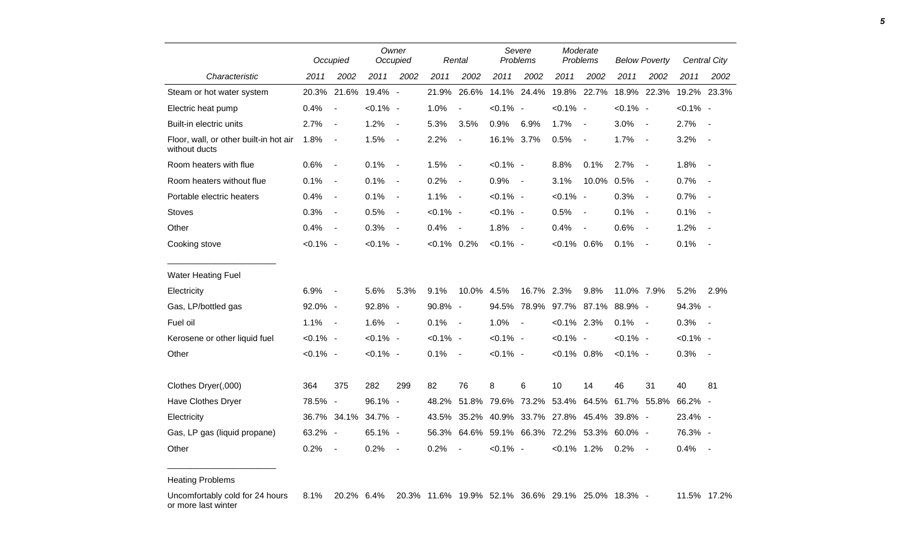|                                                         |             | Occupied                     |             | Owner<br>Occupied        |                | Rental                   | Severe<br>Problems |                               | Moderate<br>Problems |                          | <b>Below Poverty</b> |                          |             | Central City |
|---------------------------------------------------------|-------------|------------------------------|-------------|--------------------------|----------------|--------------------------|--------------------|-------------------------------|----------------------|--------------------------|----------------------|--------------------------|-------------|--------------|
| Characteristic                                          | 2011        | 2002                         | 2011        | 2002                     | 2011           | 2002                     | 2011               | 2002                          | 2011                 | 2002                     | 2011                 | 2002                     | 2011        | 2002         |
| Steam or hot water system                               |             | 20.3% 21.6%                  | 19.4% -     |                          | 21.9%          | 26.6%                    |                    | 14.1% 24.4%                   | 19.8% 22.7%          |                          |                      | 18.9% 22.3%              |             | 19.2% 23.3%  |
| Electric heat pump                                      | 0.4%        | $\overline{\phantom{a}}$     | $< 0.1\%$ - |                          | 1.0%           | $\blacksquare$           | $< 0.1\%$ -        |                               | $< 0.1\%$ -          |                          | $< 0.1\%$ -          |                          | $< 0.1\%$ - |              |
| Built-in electric units                                 | 2.7%        | $\blacksquare$               | 1.2%        | $\overline{\phantom{a}}$ | 5.3%           | 3.5%                     | 0.9%               | 6.9%                          | 1.7%                 | $\overline{\phantom{a}}$ | 3.0%                 | $\sim$                   | 2.7%        | $\sim$       |
| Floor, wall, or other built-in hot air<br>without ducts | 1.8%        | $\overline{\phantom{a}}$     | 1.5%        | $\blacksquare$           | 2.2%           | $\overline{\phantom{a}}$ | 16.1% 3.7%         |                               | 0.5%                 | $\overline{\phantom{a}}$ | 1.7%                 | $\sim$                   | 3.2%        |              |
| Room heaters with flue                                  | 0.6%        | $\blacksquare$               | 0.1%        | $\overline{\phantom{a}}$ | 1.5%           | $\overline{\phantom{a}}$ | $< 0.1\%$ -        |                               | 8.8%                 | 0.1%                     | 2.7%                 | $\sim$                   | 1.8%        | $\sim$ $-$   |
| Room heaters without flue                               | 0.1%        | $\qquad \qquad \blacksquare$ | 0.1%        | $\overline{\phantom{a}}$ | 0.2%           | $\overline{\phantom{a}}$ | 0.9%               | $\sim$                        | 3.1%                 | 10.0%                    | 0.5%                 | $\sim$                   | 0.7%        |              |
| Portable electric heaters                               | 0.4%        | $\blacksquare$               | 0.1%        | $\blacksquare$           | 1.1%           | $\overline{\phantom{a}}$ | $< 0.1\%$ -        |                               | $< 0.1\%$ -          |                          | 0.3%                 | $\sim$                   | 0.7%        | $\sim$ $-$   |
| <b>Stoves</b>                                           | 0.3%        | $\overline{\phantom{a}}$     | 0.5%        | $\overline{\phantom{a}}$ | $< 0.1\%$ -    |                          | $< 0.1\%$ -        |                               | 0.5%                 | $\overline{\phantom{a}}$ | 0.1%                 | $\overline{\phantom{a}}$ | 0.1%        |              |
| Other                                                   | 0.4%        | $\overline{\phantom{a}}$     | 0.3%        | $\blacksquare$           | 0.4%           | $\overline{a}$           | 1.8%               | $\sim$                        | 0.4%                 | $\overline{\phantom{a}}$ | 0.6%                 | $\overline{\phantom{a}}$ | 1.2%        |              |
| Cooking stove                                           | $< 0.1\%$ - |                              | $< 0.1\%$ - |                          | $< 0.1\%$ 0.2% |                          | $< 0.1\%$ -        |                               | $< 0.1\%$ 0.6%       |                          | 0.1%                 | $\sim$                   | 0.1%        | $\sim$       |
| <b>Water Heating Fuel</b>                               |             |                              |             |                          |                |                          |                    |                               |                      |                          |                      |                          |             |              |
| Electricity                                             | 6.9%        | $\blacksquare$               | 5.6%        | 5.3%                     | 9.1%           | 10.0% 4.5%               |                    | 16.7%                         | 2.3%                 | 9.8%                     | 11.0% 7.9%           |                          | 5.2%        | 2.9%         |
| Gas, LP/bottled gas                                     | 92.0% -     |                              | 92.8% -     |                          | 90.8% -        |                          | 94.5%              | 78.9%                         | 97.7%                | 87.1%                    | 88.9% -              |                          | 94.3% -     |              |
| Fuel oil                                                | 1.1%        | $\sim$ $-$                   | 1.6%        | $\overline{\phantom{a}}$ | 0.1%           | $\sim$                   | 1.0%               | $\overline{\phantom{a}}$      | $< 0.1\%$ 2.3%       |                          | 0.1%                 | $\sim$                   | 0.3%        | $\sim$ $-$   |
| Kerosene or other liquid fuel                           | $< 0.1\%$ - |                              | $< 0.1\%$ - |                          | $< 0.1\%$ -    |                          | $< 0.1\%$ -        |                               | $< 0.1\%$ -          |                          | $< 0.1\%$ -          |                          | $< 0.1\%$ - |              |
| Other                                                   | $< 0.1\%$ - |                              | $< 0.1\%$ - |                          | 0.1%           | $\overline{\phantom{a}}$ | $< 0.1\%$ -        |                               | $< 0.1\%$ 0.8%       |                          | $< 0.1\%$ -          |                          | 0.3%        | $\sim$       |
| Clothes Dryer(,000)                                     | 364         | 375                          | 282         | 299                      | 82             | 76                       | 8                  | 6                             | 10                   | 14                       | 46                   | 31                       | 40          | 81           |
| Have Clothes Dryer                                      | 78.5% -     |                              | 96.1% -     |                          | 48.2%          | 51.8%                    | 79.6%              | 73.2%                         | 53.4%                | 64.5%                    | 61.7%                | 55.8%                    | 66.2% -     |              |
| Electricity                                             |             | 36.7% 34.1%                  | 34.7% -     |                          | 43.5%          |                          |                    | 35.2% 40.9% 33.7%             | 27.8%                | 45.4%                    | 39.8% -              |                          | 23.4% -     |              |
| Gas, LP gas (liquid propane)                            | 63.2% -     |                              | 65.1% -     |                          | 56.3%          |                          |                    | 64.6% 59.1% 66.3% 72.2% 53.3% |                      |                          | 60.0% -              |                          | 76.3% -     |              |
| Other                                                   | 0.2%        | $\overline{\phantom{a}}$     | 0.2%        | $\blacksquare$           | 0.2%           | $\blacksquare$           | $< 0.1\%$ -        |                               | $< 0.1\%$ 1.2%       |                          | 0.2%                 | $\sim$                   | 0.4%        | $\sim$       |

Heating Problems

\_\_\_\_\_\_\_\_\_\_\_\_\_\_\_\_\_\_\_\_\_\_\_

Uncomfortably cold for 24 hours or more last winter 8.1% 20.2% 6.4% 20.3% 11.6% 19.9% 52.1% 36.6% 29.1% 25.0% 18.3% - 11.5% 17.2%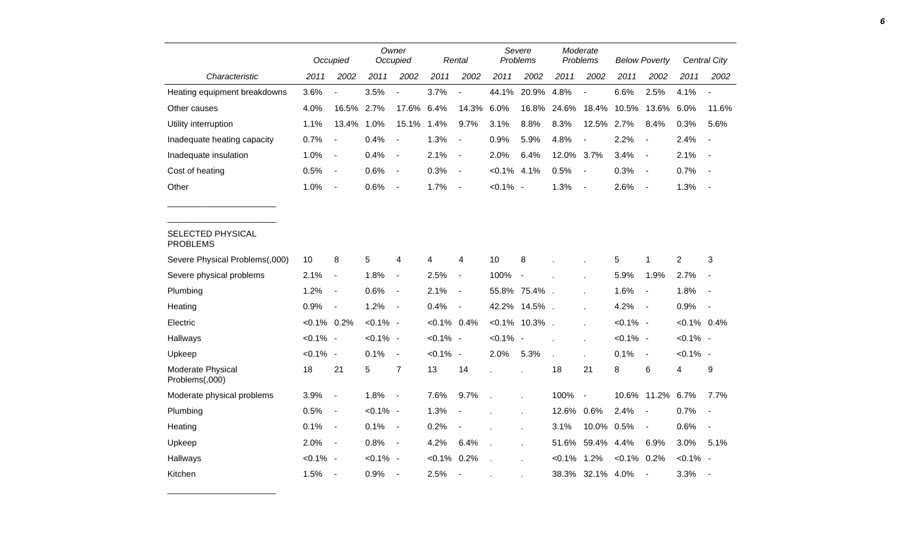|                                      |                | Occupied                 |             | Owner<br>Occupied        |                | Rental                   |                | Severe<br>Problems       |            | Moderate<br>Problems |                | <b>Below Poverty</b>     |                | <b>Central City</b>      |
|--------------------------------------|----------------|--------------------------|-------------|--------------------------|----------------|--------------------------|----------------|--------------------------|------------|----------------------|----------------|--------------------------|----------------|--------------------------|
| Characteristic                       | 2011           | 2002                     | 2011        | 2002                     | 2011           | 2002                     | 2011           | 2002                     | 2011       | 2002                 | 2011           | 2002                     | 2011           | 2002                     |
| Heating equipment breakdowns         | 3.6%           |                          | 3.5%        | $\blacksquare$           | 3.7%           |                          | 44.1%          | 20.9%                    | 4.8%       |                      | 6.6%           | 2.5%                     | 4.1%           | $\overline{\phantom{a}}$ |
| Other causes                         | 4.0%           | 16.5%                    | 2.7%        | 17.6%                    | 6.4%           | 14.3%                    | 6.0%           | 16.8%                    | 24.6%      | 18.4%                | 10.5%          | 13.6%                    | 6.0%           | 11.6%                    |
| Utility interruption                 | 1.1%           | 13.4%                    | 1.0%        | 15.1%                    | 1.4%           | 9.7%                     | 3.1%           | 8.8%                     | 8.3%       | 12.5%                | 2.7%           | 8.4%                     | 0.3%           | 5.6%                     |
| Inadequate heating capacity          | 0.7%           | $\overline{\phantom{a}}$ | 0.4%        | $\overline{\phantom{a}}$ | 1.3%           | $\overline{\phantom{a}}$ | 0.9%           | 5.9%                     | 4.8%       |                      | 2.2%           |                          | 2.4%           | $\overline{\phantom{a}}$ |
| Inadequate insulation                | 1.0%           | $\blacksquare$           | 0.4%        | $\blacksquare$           | 2.1%           | $\blacksquare$           | 2.0%           | 6.4%                     | 12.0% 3.7% |                      | 3.4%           | $\blacksquare$           | 2.1%           | $\blacksquare$           |
| Cost of heating                      | 0.5%           | $\sim$                   | 0.6%        | $\blacksquare$           | 0.3%           | $\sim$                   | $< 0.1\%$ 4.1% |                          | 0.5%       | $\blacksquare$       | 0.3%           | $\blacksquare$           | 0.7%           | $\sim$                   |
| Other                                | 1.0%           | $\overline{\phantom{a}}$ | 0.6%        | $\blacksquare$           | 1.7%           | $\overline{\phantom{a}}$ | $< 0.1\%$ -    |                          | 1.3%       | $\blacksquare$       | 2.6%           | $\sim$                   | 1.3%           | $\overline{\phantom{a}}$ |
|                                      |                |                          |             |                          |                |                          |                |                          |            |                      |                |                          |                |                          |
| SELECTED PHYSICAL<br><b>PROBLEMS</b> |                |                          |             |                          |                |                          |                |                          |            |                      |                |                          |                |                          |
| Severe Physical Problems(,000)       | 10             | 8                        | 5           | 4                        | 4              | 4                        | 10             | 8                        |            |                      | 5              | 1                        | $\overline{2}$ | 3                        |
| Severe physical problems             | 2.1%           | $\overline{\phantom{a}}$ | 1.8%        | $\blacksquare$           | 2.5%           | $\blacksquare$           | 100%           | $\overline{\phantom{a}}$ |            |                      | 5.9%           | 1.9%                     | 2.7%           | $\overline{\phantom{a}}$ |
| Plumbing                             | 1.2%           | $\blacksquare$           | $0.6\%$     | $\blacksquare$           | 2.1%           | $\blacksquare$           |                | 55.8% 75.4%.             |            |                      | 1.6%           | $\blacksquare$           | 1.8%           | $\blacksquare$           |
| Heating                              | 0.9%           | $\overline{\phantom{a}}$ | 1.2%        | $\blacksquare$           | 0.4%           | $\sim$                   |                | 42.2% 14.5%.             |            |                      | 4.2%           |                          | 0.9%           | $\sim$                   |
| Electric                             | $< 0.1\%$ 0.2% |                          | $< 0.1\%$ - |                          | $< 0.1\%$ 0.4% |                          |                | $< 0.1\%$ 10.3%.         |            |                      | $< 0.1\%$ -    |                          | $< 0.1\%$ 0.4% |                          |
| Hallways                             | $< 0.1\%$ -    |                          | $< 0.1\%$ - |                          | $< 0.1\%$ -    |                          | $< 0.1\%$ -    |                          |            |                      | $< 0.1\%$ -    |                          | $< 0.1\%$ -    |                          |
| Upkeep                               | $< 0.1\%$ -    |                          | 0.1%        | $\blacksquare$           | $< 0.1\%$ -    |                          | 2.0%           | 5.3%                     |            |                      | 0.1%           | $\blacksquare$           | $< 0.1\%$ -    |                          |
| Moderate Physical<br>Problems(,000)  | 18             | 21                       | 5           | $\overline{7}$           | 13             | 14                       |                |                          | 18         | 21                   | 8              | $\,6$                    | 4              | 9                        |
| Moderate physical problems           | 3.9%           | $\blacksquare$           | 1.8%        | $\overline{\phantom{a}}$ | 7.6%           | 9.7%                     |                |                          | 100%       | $\blacksquare$       |                | 10.6% 11.2% 6.7%         |                | 7.7%                     |
| Plumbing                             | 0.5%           | $\overline{\phantom{a}}$ | $< 0.1\%$ - |                          | 1.3%           |                          |                |                          | 12.6%      | 0.6%                 | 2.4%           | $\overline{\phantom{a}}$ | 0.7%           | $\overline{\phantom{a}}$ |
| Heating                              | 0.1%           | $\overline{\phantom{a}}$ | 0.1%        | $\sim$                   | 0.2%           | $\blacksquare$           |                |                          | 3.1%       | 10.0% 0.5%           |                | $\blacksquare$           | 0.6%           | $\blacksquare$           |
| Upkeep                               | 2.0%           | $\overline{\phantom{a}}$ | 0.8%        | $\blacksquare$           | 4.2%           | 6.4%                     |                |                          |            | 51.6% 59.4%          | 4.4%           | 6.9%                     | 3.0%           | 5.1%                     |
| Hallways                             | $< 0.1\%$ -    |                          | $< 0.1\%$ - |                          | $< 0.1\%$ 0.2% |                          |                |                          | $< 0.1\%$  | 1.2%                 | $< 0.1\%$ 0.2% |                          | $< 0.1\%$ -    |                          |
| Kitchen                              | 1.5%           | $\overline{\phantom{a}}$ | 0.9%        | $\overline{\phantom{a}}$ | 2.5%           | $\overline{\phantom{a}}$ |                |                          |            | 38.3% 32.1% 4.0%     |                | $\overline{\phantom{a}}$ | 3.3%           | $\sim$                   |

\_\_\_\_\_\_\_\_\_\_\_\_\_\_\_\_\_\_\_\_\_\_\_